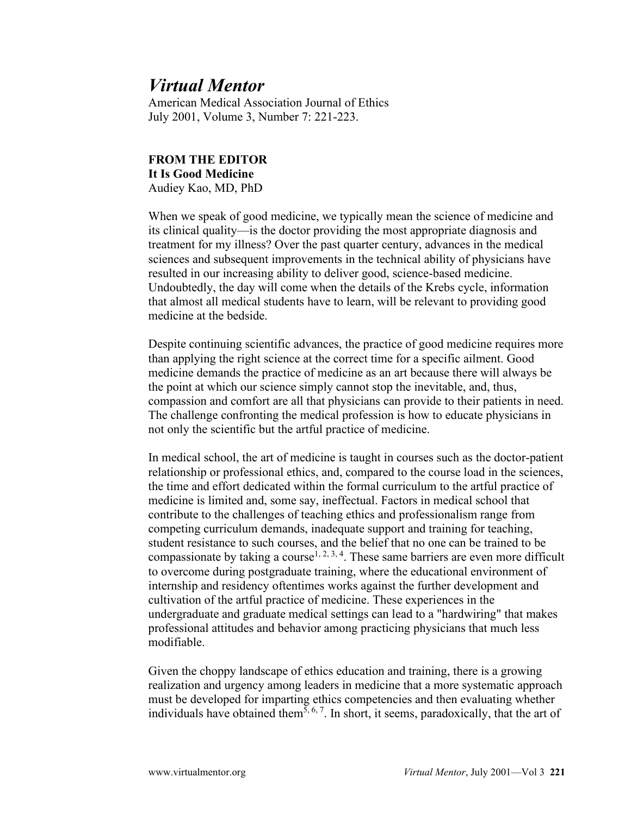## *Virtual Mentor*

American Medical Association Journal of Ethics July 2001, Volume 3, Number 7: 221-223.

## **FROM THE EDITOR It Is Good Medicine** Audiey Kao, MD, PhD

When we speak of good medicine, we typically mean the science of medicine and its clinical quality—is the doctor providing the most appropriate diagnosis and treatment for my illness? Over the past quarter century, advances in the medical sciences and subsequent improvements in the technical ability of physicians have resulted in our increasing ability to deliver good, science-based medicine. Undoubtedly, the day will come when the details of the Krebs cycle, information that almost all medical students have to learn, will be relevant to providing good medicine at the bedside.

Despite continuing scientific advances, the practice of good medicine requires more than applying the right science at the correct time for a specific ailment. Good medicine demands the practice of medicine as an art because there will always be the point at which our science simply cannot stop the inevitable, and, thus, compassion and comfort are all that physicians can provide to their patients in need. The challenge confronting the medical profession is how to educate physicians in not only the scientific but the artful practice of medicine.

In medical school, the art of medicine is taught in courses such as the doctor-patient relationship or professional ethics, and, compared to the course load in the sciences, the time and effort dedicated within the formal curriculum to the artful practice of medicine is limited and, some say, ineffectual. Factors in medical school that contribute to the challenges of teaching ethics and professionalism range from competing curriculum demands, inadequate support and training for teaching, student resistance to such courses, and the belief that no one can be trained to be compassionate by taking a course<sup>1, 2, 3, 4</sup>. These same barriers are even more difficult to overcome during postgraduate training, where the educational environment of internship and residency oftentimes works against the further development and cultivation of the artful practice of medicine. These experiences in the undergraduate and graduate medical settings can lead to a "hardwiring" that makes professional attitudes and behavior among practicing physicians that much less modifiable.

Given the choppy landscape of ethics education and training, there is a growing realization and urgency among leaders in medicine that a more systematic approach must be developed for imparting ethics competencies and then evaluating whether individuals have obtained them<sup>5, 6, 7</sup>. In short, it seems, paradoxically, that the art of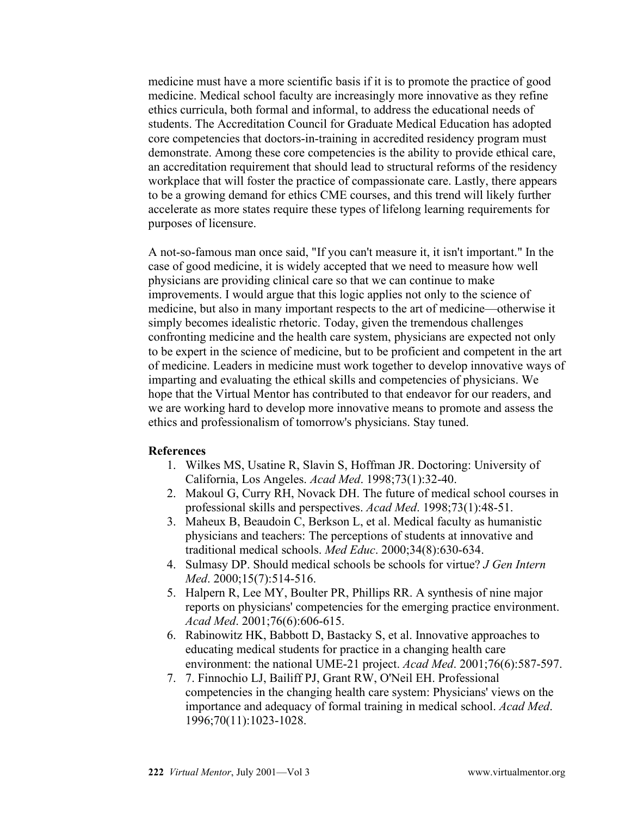medicine must have a more scientific basis if it is to promote the practice of good medicine. Medical school faculty are increasingly more innovative as they refine ethics curricula, both formal and informal, to address the educational needs of students. The Accreditation Council for Graduate Medical Education has adopted core competencies that doctors-in-training in accredited residency program must demonstrate. Among these core competencies is the ability to provide ethical care, an accreditation requirement that should lead to structural reforms of the residency workplace that will foster the practice of compassionate care. Lastly, there appears to be a growing demand for ethics CME courses, and this trend will likely further accelerate as more states require these types of lifelong learning requirements for purposes of licensure.

A not-so-famous man once said, "If you can't measure it, it isn't important." In the case of good medicine, it is widely accepted that we need to measure how well physicians are providing clinical care so that we can continue to make improvements. I would argue that this logic applies not only to the science of medicine, but also in many important respects to the art of medicine—otherwise it simply becomes idealistic rhetoric. Today, given the tremendous challenges confronting medicine and the health care system, physicians are expected not only to be expert in the science of medicine, but to be proficient and competent in the art of medicine. Leaders in medicine must work together to develop innovative ways of imparting and evaluating the ethical skills and competencies of physicians. We hope that the Virtual Mentor has contributed to that endeavor for our readers, and we are working hard to develop more innovative means to promote and assess the ethics and professionalism of tomorrow's physicians. Stay tuned.

## **References**

- 1. Wilkes MS, Usatine R, Slavin S, Hoffman JR. Doctoring: University of California, Los Angeles. *Acad Med*. 1998;73(1):32-40.
- 2. Makoul G, Curry RH, Novack DH. The future of medical school courses in professional skills and perspectives. *Acad Med*. 1998;73(1):48-51.
- 3. Maheux B, Beaudoin C, Berkson L, et al. Medical faculty as humanistic physicians and teachers: The perceptions of students at innovative and traditional medical schools. *Med Educ*. 2000;34(8):630-634.
- 4. Sulmasy DP. Should medical schools be schools for virtue? *J Gen Intern Med*. 2000;15(7):514-516.
- 5. Halpern R, Lee MY, Boulter PR, Phillips RR. A synthesis of nine major reports on physicians' competencies for the emerging practice environment. *Acad Med*. 2001;76(6):606-615.
- 6. Rabinowitz HK, Babbott D, Bastacky S, et al. Innovative approaches to educating medical students for practice in a changing health care environment: the national UME-21 project. *Acad Med*. 2001;76(6):587-597.
- 7. 7. Finnochio LJ, Bailiff PJ, Grant RW, O'Neil EH. Professional competencies in the changing health care system: Physicians' views on the importance and adequacy of formal training in medical school. *Acad Med*. 1996;70(11):1023-1028.